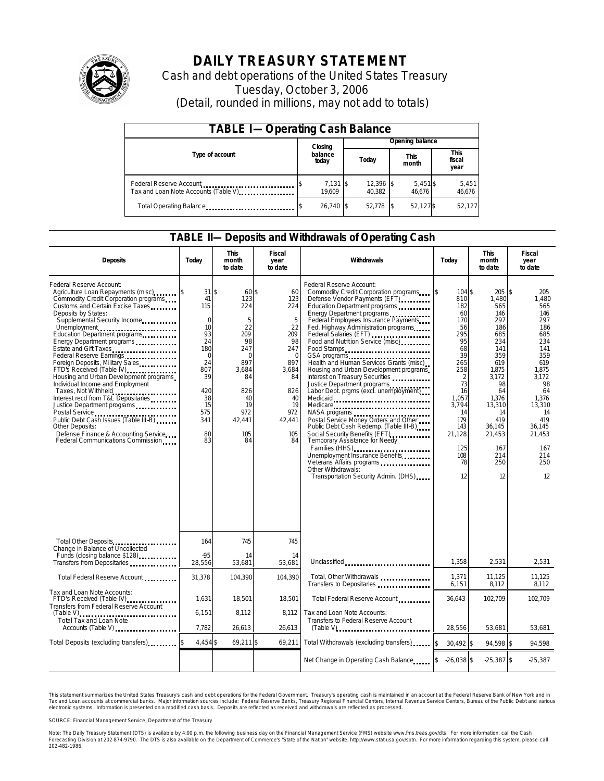

# **DAILY TREASURY STATEMENT**

Cash and debt operations of the United States Treasury Tuesday, October 3, 2006 (Detail, rounded in millions, may not add to totals)

| <b>TABLE I-Operating Cash Balance</b>                            |                    |                       |                      |                        |  |  |  |  |
|------------------------------------------------------------------|--------------------|-----------------------|----------------------|------------------------|--|--|--|--|
|                                                                  | Closing            | Opening balance       |                      |                        |  |  |  |  |
| Type of account                                                  | balance<br>today   | Today                 | <b>This</b><br>month | This<br>fiscal<br>year |  |  |  |  |
| Federal Reserve Account<br>Tax and Loan Note Accounts (Table V). | 7,131 \$<br>19.609 | $12,396$ \$<br>40.382 | $5,451$ \$<br>46.676 | 5,451<br>46,676        |  |  |  |  |
| Total Operating Balance                                          | 26.740 \$          | 52.778                | 52,127\$             | 52,127                 |  |  |  |  |

# **TABLE II—Deposits and Withdrawals of Operating Cash**

| <b>Deposits</b>                                                                                                                                                                                                                                                                                                                                                                                                                                                                                                                                                                                                                                                                                                                                               | Today                                                                                                                                       | <b>This</b><br>month<br>to date                                                                                                       | Fiscal<br>year<br>to date                                                                                                             | Withdrawals                                                                                                                                                                                                                                                                                                                                                                                                                                                                                                                                                                                                                                                                                                                                                                                                                                                          | Today                                                                                                                                                                                        | <b>This</b><br>month<br>to date                                                                                                                                                          | Fiscal<br>year<br>to date                                                                                                                                                                      |
|---------------------------------------------------------------------------------------------------------------------------------------------------------------------------------------------------------------------------------------------------------------------------------------------------------------------------------------------------------------------------------------------------------------------------------------------------------------------------------------------------------------------------------------------------------------------------------------------------------------------------------------------------------------------------------------------------------------------------------------------------------------|---------------------------------------------------------------------------------------------------------------------------------------------|---------------------------------------------------------------------------------------------------------------------------------------|---------------------------------------------------------------------------------------------------------------------------------------|----------------------------------------------------------------------------------------------------------------------------------------------------------------------------------------------------------------------------------------------------------------------------------------------------------------------------------------------------------------------------------------------------------------------------------------------------------------------------------------------------------------------------------------------------------------------------------------------------------------------------------------------------------------------------------------------------------------------------------------------------------------------------------------------------------------------------------------------------------------------|----------------------------------------------------------------------------------------------------------------------------------------------------------------------------------------------|------------------------------------------------------------------------------------------------------------------------------------------------------------------------------------------|------------------------------------------------------------------------------------------------------------------------------------------------------------------------------------------------|
| Federal Reserve Account:<br>Agriculture Loan Repayments (misc)<br>Commodity Credit Corporation programs<br>Customs and Certain Excise Taxes<br>Deposits by States:<br>Supplemental Security Income<br>Unemployment<br>Education Department programs<br>Energy Department programs<br>Estate and Gift Taxes<br>Federal Reserve Earnings<br>Foreign Deposits, Military Sales<br>FTD's Received (Table IV) <b>FTD</b> 's Received (Table IV)<br>Housing and Urban Development programs<br>Individual Income and Employment<br>Taxes, Not Withheld<br>Interest recd from T&L Depositaries<br>Justice Department programs<br>Public Debt Cash Issues (Table III-B)<br>Other Deposits:<br>Defense Finance & Accounting Service<br>Federal Communications Commission | $31$ \$<br>41<br>115<br>$\mathbf 0$<br>10<br>93<br>24<br>180<br>$\mathbf 0$<br>24<br>807<br>39<br>420<br>38<br>15<br>575<br>341<br>80<br>83 | 60 \$<br>123<br>224<br>5<br>22<br>209<br>98<br>247<br>$\Omega$<br>897<br>3,684<br>84<br>826<br>40<br>19<br>972<br>42.441<br>105<br>84 | 60<br>123<br>224<br>5<br>22<br>209<br>98<br>247<br>$\mathbf 0$<br>897<br>3,684<br>84<br>826<br>40<br>19<br>972<br>42.441<br>105<br>84 | Federal Reserve Account:<br>Commodity Credit Corporation programs<br>Defense Vendor Payments (EFT)<br>Education Department programs<br>Energy Department programs<br>Federal Employees Insurance Payments<br>Fed. Highway Administration programs<br>Federal Salaries (EFT)<br>Food and Nutrition Service (misc)<br>Food Stamps<br>Health and Human Services Grants (misc)<br>Housing and Urban Development programs<br>Interest on Treasury Securities<br>Justice Department programs<br>Labor Dept. prgms (excl. unemployment)<br>Medicare<br>NASA programs<br>Postal Service Money Orders and Other<br>Public Debt Cash Redemp. (Table III-B)<br>Social Security Benefits (EFT)<br>Temporary Assistance for Needy<br>Families (HHS)<br>Unemployment Insurance Benefits<br>Veterans Affairs programs<br>Other Withdrawals:<br>Transportation Security Admin. (DHS) | 104 \$<br>ß.<br>810<br>182<br>60<br>170<br>56<br>295<br>95<br>68<br>39<br>265<br>258<br>$\overline{2}$<br>73<br>16<br>1.057<br>3.794<br>14<br>179<br>143<br>21,128<br>125<br>108<br>78<br>12 | 205<br>1,480<br>565<br>146<br>297<br>186<br>685<br>234<br>141<br>359<br>619<br>1,875<br>3,172<br>98<br>64<br>1.376<br>13,310<br>14<br>419<br>36,145<br>21,453<br>167<br>214<br>250<br>12 | \$<br>205<br>1,480<br>565<br>146<br>297<br>186<br>685<br>234<br>141<br>359<br>619<br>1,875<br>3,172<br>98<br>64<br>1.376<br>13,310<br>14<br>419<br>36,145<br>21,453<br>167<br>214<br>250<br>12 |
| Total Other Deposits<br>Change in Balance of Uncollected                                                                                                                                                                                                                                                                                                                                                                                                                                                                                                                                                                                                                                                                                                      | 164                                                                                                                                         | 745                                                                                                                                   | 745                                                                                                                                   |                                                                                                                                                                                                                                                                                                                                                                                                                                                                                                                                                                                                                                                                                                                                                                                                                                                                      |                                                                                                                                                                                              |                                                                                                                                                                                          |                                                                                                                                                                                                |
| Funds (closing balance \$128)<br>Funds (closing balance \$128)<br>Transfers from Depositaries                                                                                                                                                                                                                                                                                                                                                                                                                                                                                                                                                                                                                                                                 | $-95$<br>28,556                                                                                                                             | 14<br>53,681                                                                                                                          | 14<br>53,681                                                                                                                          | Unclassified                                                                                                                                                                                                                                                                                                                                                                                                                                                                                                                                                                                                                                                                                                                                                                                                                                                         | 1,358                                                                                                                                                                                        | 2,531                                                                                                                                                                                    | 2,531                                                                                                                                                                                          |
| Total Federal Reserve Account                                                                                                                                                                                                                                                                                                                                                                                                                                                                                                                                                                                                                                                                                                                                 | 31,378                                                                                                                                      | 104,390                                                                                                                               | 104,390                                                                                                                               | Total, Other Withdrawals<br>Transfers to Depositaries                                                                                                                                                                                                                                                                                                                                                                                                                                                                                                                                                                                                                                                                                                                                                                                                                | 1,371<br>6,151                                                                                                                                                                               | 11,125<br>8,112                                                                                                                                                                          | 11,125<br>8,112                                                                                                                                                                                |
| Tax and Loan Note Accounts:<br>FTD's Received (Table IV)<br>Transfers from Federal Reserve Account                                                                                                                                                                                                                                                                                                                                                                                                                                                                                                                                                                                                                                                            | 1,631                                                                                                                                       | 18,501                                                                                                                                | 18,501                                                                                                                                | Total Federal Reserve Account                                                                                                                                                                                                                                                                                                                                                                                                                                                                                                                                                                                                                                                                                                                                                                                                                                        | 36,643                                                                                                                                                                                       | 102,709                                                                                                                                                                                  | 102,709                                                                                                                                                                                        |
| <b>Total Tax and Loan Note</b><br>Accounts (Table V)                                                                                                                                                                                                                                                                                                                                                                                                                                                                                                                                                                                                                                                                                                          | 6,151<br>7,782                                                                                                                              | 8,112<br>26.613                                                                                                                       | 8.112<br>26,613                                                                                                                       | Tax and Loan Note Accounts:<br>Transfers to Federal Reserve Account                                                                                                                                                                                                                                                                                                                                                                                                                                                                                                                                                                                                                                                                                                                                                                                                  | 28.556                                                                                                                                                                                       | 53.681                                                                                                                                                                                   | 53.681                                                                                                                                                                                         |
| Total Deposits (excluding transfers)                                                                                                                                                                                                                                                                                                                                                                                                                                                                                                                                                                                                                                                                                                                          | 4,454 \$                                                                                                                                    | $69,211$ \$                                                                                                                           | 69,211                                                                                                                                | Total Withdrawals (excluding transfers)                                                                                                                                                                                                                                                                                                                                                                                                                                                                                                                                                                                                                                                                                                                                                                                                                              | \$<br>30,492 \$                                                                                                                                                                              | 94,598 \$                                                                                                                                                                                | 94,598                                                                                                                                                                                         |
|                                                                                                                                                                                                                                                                                                                                                                                                                                                                                                                                                                                                                                                                                                                                                               |                                                                                                                                             |                                                                                                                                       |                                                                                                                                       | Net Change in Operating Cash Balance                                                                                                                                                                                                                                                                                                                                                                                                                                                                                                                                                                                                                                                                                                                                                                                                                                 | $-26,038$ \$                                                                                                                                                                                 | $-25,387$ \$                                                                                                                                                                             | $-25,387$                                                                                                                                                                                      |

This statement summarizes the United States Treasury's cash and debt operations for the Federal Government. Treasury's operating cash is maintained in an account at the Federal Reserve Bank of New York and in Tax and Loan accounts at commercial banks. Major information sources include: Federal Reserve Banks, Treasury Regional Financial Centers, Internal Revenue Service Centers, Bureau of the Public Debt and various<br>electronic s

SOURCE: Financial Management Service, Department of the Treasury

Note: The Daily Treasury Statement (DTS) is available by 4:00 p.m. the following business day on the Financial Management Service (FMS) website www.fms.treas.gov/dts. For more information, call the Cash<br>Forecasting Divisio 'S) is available by 4:00 p.m. the following business day on the Financial Management Service (FMS) website www.fms.treas.gov/dts. For more information, call the Cash<br>The DTS is also available on the Department of Commerce'